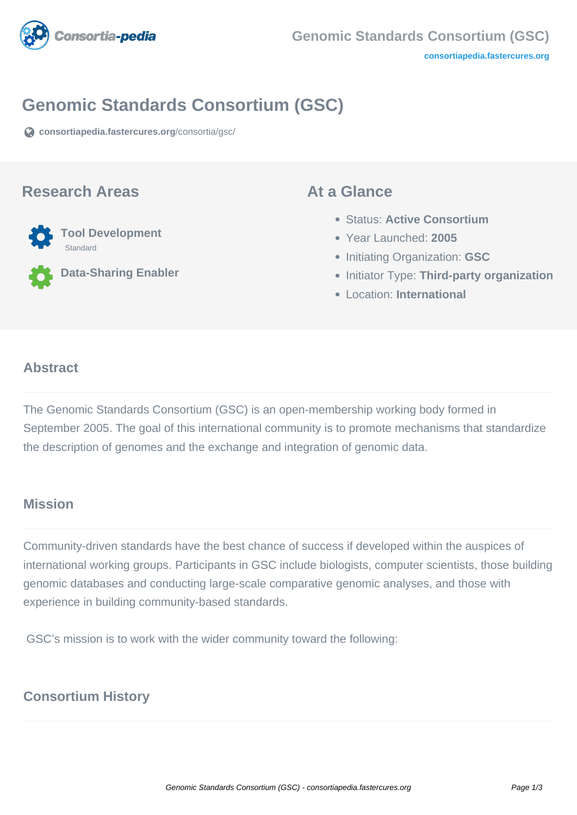

## **Genomic Standards Consortium (GSC)**

**[consortiapedia.fastercures.org](https://consortiapedia.fastercures.org/consortia/gsc/)**[/consortia/gsc/](https://consortiapedia.fastercures.org/consortia/gsc/)

#### **Research Areas**



**Data-Sharing Enabler**

#### **At a Glance**

- Status: **Active Consortium**
- Year Launched: **2005**
- **Initiating Organization: GSC**
- **Initiator Type: Third-party organization**
- Location: **International**

#### $\overline{a}$ **Abstract**

The Genomic Standards Consortium (GSC) is an open-membership working body formed in September 2005. The goal of this international community is to promote mechanisms that standardize the description of genomes and the exchange and integration of genomic data.

## **Mission**

Community-driven standards have the best chance of success if developed within the auspices of international working groups. Participants in GSC include biologists, computer scientists, those building genomic databases and conducting large-scale comparative genomic analyses, and those with experience in building community-based standards.

GSC's mission is to work with the wider community toward the following:

### **Consortium History**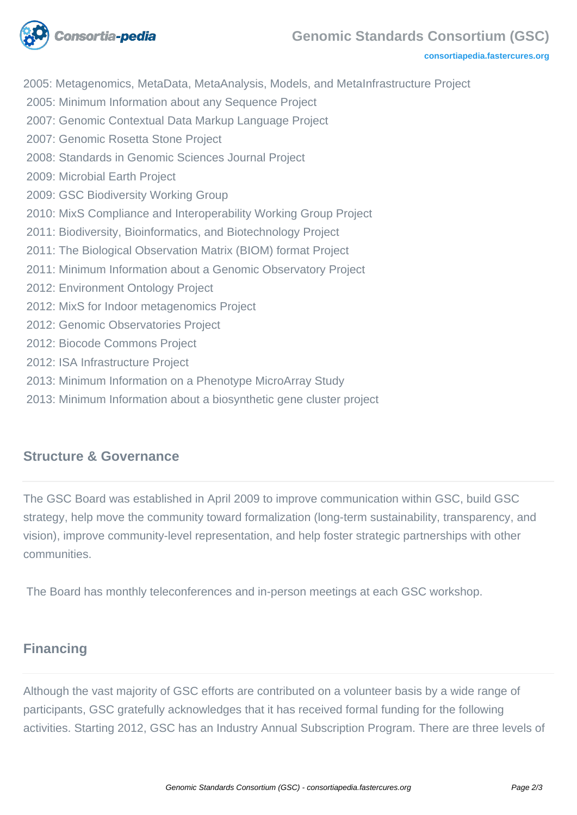

**[consortiapedia.fastercures.org](http://consortiapedia.fastercures.org/)**

2005: Metagenomics, MetaData, MetaAnalysis, Models, and MetaInfrastructure Project

2005: Minimum Information about any Sequence Project

- 2007: Genomic Contextual Data Markup Language Project
- 2007: Genomic Rosetta Stone Project
- 2008: Standards in Genomic Sciences Journal Project
- 2009: Microbial Earth Project
- 2009: GSC Biodiversity Working Group
- 2010: MixS Compliance and Interoperability Working Group Project
- 2011: Biodiversity, Bioinformatics, and Biotechnology Project
- 2011: The Biological Observation Matrix (BIOM) format Project
- 2011: Minimum Information about a Genomic Observatory Project
- 2012: Environment Ontology Project
- 2012: MixS for Indoor metagenomics Project
- 2012: Genomic Observatories Project
- 2012: Biocode Commons Project
- 2012: ISA Infrastructure Project
- 2013: Minimum Information on a Phenotype MicroArray Study
- 2013: Minimum Information about a biosynthetic gene cluster project

### **Structure & Governance**

The GSC Board was established in April 2009 to improve communication within GSC, build GSC strategy, help move the community toward formalization (long-term sustainability, transparency, and vision), improve community-level representation, and help foster strategic partnerships with other communities.

The Board has monthly teleconferences and in-person meetings at each GSC workshop.

# **Financing**

Although the vast majority of GSC efforts are contributed on a volunteer basis by a wide range of participants, GSC gratefully acknowledges that it has received formal funding for the following activities. Starting 2012, GSC has an Industry Annual Subscription Program. There are three levels of